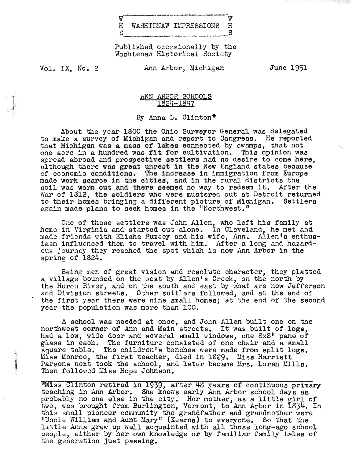| w |                       |  |
|---|-----------------------|--|
| H | WASHTENAW IMPRESSIONS |  |
|   |                       |  |

Published occasionally by the Waahtenaw Historical Society

Vol. IX, No. 2

I<br>I<br>I Presidente

Ann Arbor, Michigan

June 1951

ANN ARBOR SCHOOLS 1824-1897

By Anna L. Clinton\*

About the year 19OO the Ohio Surveyor General was delegated to make a survey of Michigan and report to Congress. He reported that Michigan was a mass of lakes connected by swamps, that not one acre in a hundred was fit. for cultivation. This opinion was spread abroad and prospective settlers had no desire to come here, although there was great unrest in the New England states because of economic conditions. The increase in immigration from Europe made work scarce in the cities, and in the rural districts the soil was worn out and there seemed no way to redeem it. After the War of 1812, the soldiers who were mustered out at Detroit returned to their homes bringing a different picture of Michigan. Settlers again made plans to seek homes in the "Northwest."

One of these settlers was John Allen, who left his family at one of these settlers was bonn Affen, who felt his family at made friends with Elisha Rumsey and his wife, Ann. Allen's enthusiasm influenced them to travel with him. After a long and hazardous journey they reached the spot which is now Ann Arbor in the spring of lS24.

Being men of great vision and resolute character, they platted a village bounded on the west by Allen's Creek, on the north by the Huron River, and on the south and east by what are now Jefferson and Division streets. Other settlers followed, and at the end of the first year there were nine small homes; at the end of the second year the population was more than 100.

A school was needed at once, and John Allen built one on the northwest corner of Ann and Main streets. It was built of logs, had a low, wide door and several small windows, one SxS" pane of glass in each. The furniture consisted of one chair and a small square table. The children's benches were made from split logs. Miss Monroe, the first teacher, died in 1829. Miss Harriett Parsons next took the school, and later became Mrs. Loren Mills. Then followed Miss Hope Johnson.

~liss Clinton retired 1n 1939, after 48 years of continuous pr1mary tea.ching in Ann Arbor. She knows early Ann Arbor school days as teaching in Ann Arbor. She knows early Ann Arbor school days as<br>probably no one else in the city. Her mother, as a little girl of tropapiy ho one eise in the city. Her mother, as a fittie girl of the case in the city. The concept from Burlington. Vermont, to Ann Arbor in 1834. In this small pioneer community the grandfather and grandmother were "Uncle William and Aunt Mary" (Kearns) to everyone. So that the little Anna grew up well acquainted with all those long-ago school people, either by her own knowledge or by familiar family tales of the generation just passing.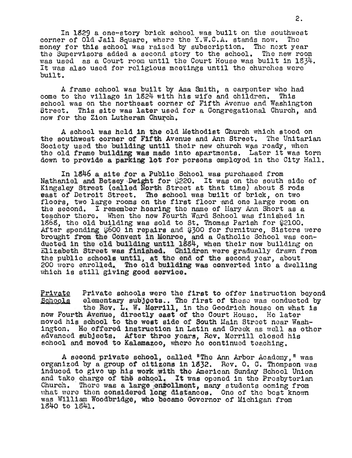In lS29 a one-story brick school was built on the southwest In 1527 a one-story brick sonced was built on the southwent money for this school was raised by subscription. Tho next year the Supervisors added a second story to the school. The new room the Supervisors added a second story to the school. The new room was used as a Court room until the Court House was built in 1834. It was also used for religious meetings until the churches were built.

A frame school was built by Asa Smith, a carpenter who had come to the village in 1824 with his wife and children. This school was on the northeast corner of Fifth Avenue and Washington Street. This site was later used for a Congregational Church, and now for the Zion Lutheran Church.

A sohool was held in the old Method1st Church which stood on the southwest corner of F1fth Avenue and Ann Street. The Unitarian Society used the building until their new church was ready, when the old frame building was made into apartments. Later it was torn down to provide a parking lot for persons employed in the City Hall.

In 1846 a site for a Public School was purchased from Nathaniel and Betsey Dwight for \$220. It was on the south side of Kingsley Street (called North Street at that time) about S rods east *ot* Detroit Street; The school Vias built of brick, on two fast of betroit street. The school was built of brick, on two<br>floors, two large rooms on the first floor and one large room on the second. I remember hearing tho name of Mary Ann Short as a teacher there. When the new Fourth Ward School was finished 1n lstand the old building was sold to St. Thomas Parish for \$2100. After spending  $$600$  in repairs and  $$300$  for furniture, Sisters were brought rrom the Convent in Monroe, and a Catholic School was conduoted in the old bu1lding until lSS4, when their new building on Elizabeth Street was finished. Children were gradually drawn from the public schools until, at the end of the second year, about 200 were enrolled. The old building was converted into a dwelling which is still giving good service.

Private Private schools were the first to offer instruction beyond<br>Schools elementary subjects. The first of these was conducted by 111 cate frivate senots were the lirst to offer instruction beyond<br>Schools elementary subjects.. The first of these was conducted by<br>the Rev. L. W. Merrill, in the Goodrich house on what is now Fourth Avenue, directly east of the Court House. He later moved his school to the west side of South Main Street ncar Washington. He offered instruction in Latin and Greek as well as other advanced subjects. Atter three years, Rev. Morrill closed his school and moved to Kalamazoo, where he continued teaching.

A second private school, called "The Ann Arbor Academy," was organized by a group of citizens in 1832. Rev. O. C. Thompson was induced to give up his work with tho American Sunday School Union and take charge of the school. It was opened in the Presbyterian Church. There was a large entollment, many students coming from what were then considered long distances. One of the best known was William Woodbridge, who becamo Governor of Michigan from lS40 to 1941.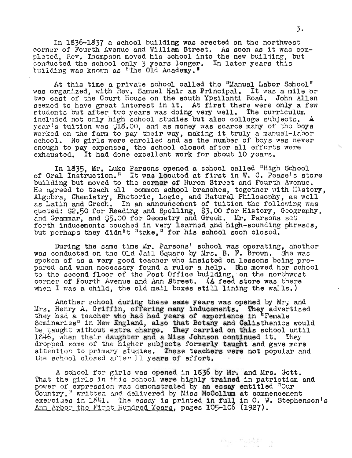n 1836-1837 a school building was erected on the northwest corner of Fourth Avenue and William Streot. As soon as 1t was completed, Rev. Thompson moved h1s school 1nto the new bu1lding, but leted, Hev. Thompson moved his school into the new building, by<br>onducted the school only 3 years longer. In later years this onducted the school only *j* years longer.

At this time a private school called the "Manual Labor School" was organized, with Rev. Samuel Hair as Principal. It was a mile or two east of the Court House on the south Ypsilanti Road. John Allen seemed to have great interest in it. At first there were only a few eemed to have great interest in it. At first there were only a formed to have great interest in it. At first me<br>tudents but after two vears was doing very well. The curriculum included not only high school studies but also college subjects. A year's tuition was  $\mathcal{C}(\mathbf{Z}, \mathbf{X})$  and as money was scarce many of the boys worked on the farm to pay their way, making it truly a manual-labor orked on the farm to pay their way, making it truly a manual-labor<br>chool. No girls were enrolled and as the number of boys was never chool. No girls were enrolled and as the number of boys was never<br>nough to pay expenses, the school closed after all efforts were enough to pay expenses, the school closed after all offorts were exhausted. It had done excellent work for about 10 years.

In 1935, Mr. Luke Parsons opened a school called "High School of Oral Instruction." It was locuted at first in W. C. Pease's store building but moved to the corner of Huron Street and Fourth Avenue. He agreed to teach all common school branches, together with History, Algebra, Chemistry, Rhetoric, Logic, and Natural Philosophy, as well igobra, Chemistry, Rhotoric, Logic, and Ratural Philosophy, as well<br>s Latin and Greek. In an announcement of tuition the following was is Latin and Greek. In an announcement of tuition the following was<br>woted: \$2.50 for Reading and Spelling, \$3.00 for History, Geography, udted: pz.50 for Reading and Spelling, p3.00 for history, Geogrand Chammar, and S5.00 for Geometry and Greek. Mr. Parsons set nd Grammar, and Sp.00 for Geometry and Greek. Mr. Farsons set<br>orth inducements couched in very learned and high-sounding phrases. forth inducements couched in very learned and high-sounding phrases, but perhaps they didn't "take," for his school soon closed.

During the same time Mr. Parsons' school was operating, another was conducted on the Old Jail Square by Mrs. B. F. Brown. She was spoken of as a very good teacher who insisted on lessons being pre-<br>pared and when necessary found a ruler a help. She moved her school ared and when necessary found a ruler a neip. She moved her schop<br>o the second floor of the Post Office building, on the northwest o the second floor of the rost Uffice building, on the northwest.<br>Orner of Fourth Avenue and Ann Atreet. (A feed store was there orner of Fourth Avenue and Ann **Street. (A feed store wa**s there<br>hen I was a child, the old mail boxes still lining the walls.)

Another school during these same years was opened by  $Mr_{\nu}$  and Another school during these same years was opened by mr, and<br>Irs. Henry A. Griffin, offering many inducements. They advertised rs. Henry A. Griffin, offering many inducements. They advert.<br>hey had a teacher who had had years of experience in "Female ney had a teacher who had had years of experience in "Female"<br>leminaries<sup>4</sup> in New England, also that Botany and Calisthenics would beminaries" in New England, also that Botany and Calisthenics would<br>e taught without extra charge. They carried on this school until 1946, when their daughter and a Miss Johnson onthis school until<br>1946, when their daughter and a Miss Johnson continued it. They<br>Propped some of the higher subjects formerly taught and gave mere ropped some of the nigher subjects formerly taught and gave more<br>ttention to primary studies. These teachers were not popular and ttention to primary studies. These teacher<br>he school closed after 11 years of effort.

A school for girls was opened in 1936 by Mr. and Mrs. Gott. That the girls in this school were highly trained in patriotism and power of expression was demonstrated by an essay entitled "Our Country, " written and delivered by Miss McCollum at commencement exercises in 1841. The essay is printed in full in O. W. Stephenson's Ann Arbor the First Hundred Years, pages 105-106 (1927).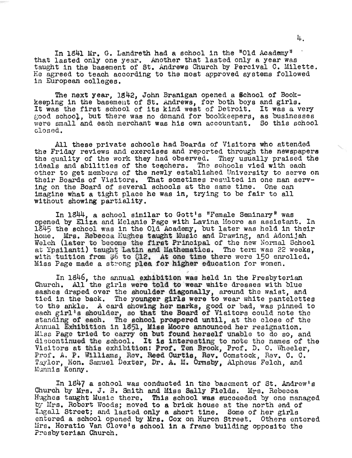In 1841 Mr. G. Landreth had a school in the "Old Academy" that lasted only one year. Another that lasted only a year was taught in the basement of st. Andrews Church by Percival C. Milette. He agreed to teach according to the most approved systems followed in European colleges.

The next year, lS42, John Branigan opened a Bchool *ot* Bookkeeping in the basement of St. Andrews, for both boys and girls. It was the first school of its kind west of Detroit. It was a very good school, but there was no demand for bookkeepers, as businesses were small and each merchant was his own accountant. So this school closed.

All these private schools had Boards of Visitors who attended the Friday reviews and exercises and reported through the newspapers the quality of the work they had observed. They usually praised the ideals and abilities of the teachers. The schools vied with each other to get members of the newly established University to serve on their Boards of Visitors. That sometimes resulted in one man serving on the Board of several schools at the same time. One can imagine what a tight place he was in, trying to be fair to all without showing partiality.

In 1844, a school similar to Gott's "Female Seminary" was opened by Eliza and Melanie Page with Lavina Moore as assistant. In 1845 the school was in the Old Academy, but later was held in their home. Mrs. Rebecca Hughes taught Music and Drawing, and Adonijah Welch (later to become the first Principal of the new Normal School at Ypsilanti) taught Latin and Mathematics. The term was 22 weeks, with tuition from \$6 to \$12. At one time there were 150 enrolled. Miss Page made a strong plea for higher education for women.

In 1846, the annual exhibition was held in the Presbyterian Church. All the girls were told to wear white dresses with blue sashes draped over the shoulder diagonally, around the waist, and the district in the controller and the section of the whole the back. The younger girls were to wear white pantelettes to the ankle. A card showing her marks, good or bad, was pinned to each girl's shoulder, so that the Board of Visitors could note the standing of each. The school prospered until, at the close of the wanding of each. The school prospered until, at the close of the<br>Annual Exhibition in 1851, Miss Moore announced her resignation.<br>Miss Page tried to carry on but found herself unable to do so, and liss Page tried to carry on but found herself unable to do so, and<br>liscontinued the school. It is interesting to note the names of the iscontinued the school. It is interesting to hote the hames of the<br>Asitors at this exhibition: Prof. Ten Brook, Prof. D. O. Wheeler, Prof. A. P. Williams, Rev. Reed Curtis, Rev. Comstock, Rev. C. C. Taylor, Hon. Samuel Dexter, Dr. A. M. Ormsby, Alpheus Felch, and Munnis Kenny.

In 1847 a school was conducted in the basement of St. Andrew's Church by Mrs. J. B. Smith and Miss Sally Fields. Mrs. Rebecoa Hughes taught Music there. This school was sucoaeded by one managed by Mrs. Robert Woods; moved to a brick house at the north end of Iaga11 Street; and lasted only a short time. Some of her girls entered a school opened by Mrs. Cox on Huron Street. Others entered Mrs. Horatio Van Cleve's sohool in a frame building opposite the Presbyterian Church.

4.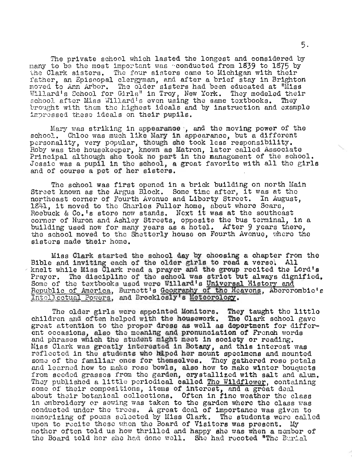The private school which lasted the longest and considered by many to be the most important was "conducted from 1839 to 1875 by the Clark sisters. The four sisters came to Michigan with their father, an Episcopal clergyman, and after a brief stay in Brighton moved to Ann Arbor. The older sisters had been educated at "Miss Noved to Ann Arbor. The older sisters had been educated at miss<br>Willard's School for Girls" in Troy, New York. They modeled their school after Miss Willard's even using the same textbooks. They include their<br>school after Miss Willard's even using the same textbooks. They<br>impressed these ideals on their pupils.

Mary was striking in appearance, and the moving power of the school. Chloe was much like Mary in appearance, but a different personality, very popular, though she took less responsibility.<br>Roby was the housekeeper, known as Matron, later called Associate Principal although she took no part in the management of the school. Jessie was a pupil in the school, a great favorite with all the girls and of course a pet of her sisters.

The school was first opened in a brick building on north Main The school was first opened in a brick building on north Mai<br>Street known as the Argus Block. Some time after, it was at the northeast corner of Fourth Avenue and Liborty Street. In August, 160 and Liborty Street. In August, 1641, it moved to the Charles Fuller home, about where Sears, 1841, it moved to the Charles Fuller home, about where Sears,<br>Roebuck & Co.'s store now stands. Next it was at the southeast corner of Huron and AShley Streets, opposite the bus terminal, in a building used now for many years as a hotel. Atter 9 years there, the school moved to the Shetterly house on Fourth Avenue, where tho sistors made their home.

Miss Clark started the school day by ohoosing a chapter from the Bible and inviting each of the older girls to read a verse. All knelt while Miss Clark read a prayer and the group recited the Lord's Prayer. The discipline of the school was strict but always dignified.<br>Prayer. The discipline of the school was strict but always dignified. Republic of America, Burnett's Geography of the Heavens, Abercrombie's Intellectual Powers, and Brocklesly's Meteorology.

The older girls were appointed Monitors. They taught the littlo children and often helped with the housework. The Clark school gave groat attention to the proper dress as well as deportment for different occasions, also the meaning and pronunciation of French words and phrases which the student might meet in society or reading.<br>Miss Clark was greatly interested in Botany, and this interest was reflected in the students who haped her mount specimens and mounted some of the familiar ones for themselves. They gathered rose petals and learned how to make rose bowls, also how to make winter bouquets from seeded grasses from the garden, crystallized with salt and alum. They published a little periodical called The Wildflower, containing some of their compositions, items of interost, and a great deal about their botanical collections. Often in fine weather the class in embroidery or sewing was taken to the garden where the class was conducted under the trees. A great deal of importance was given to memorizing of poems solected by Miss Clark. The students wore called upon to recite these when the Board of Visitors was present. My mother often told us how thrilled and happy she was when a member of the Board told her she had done well. She had recoted "The Burial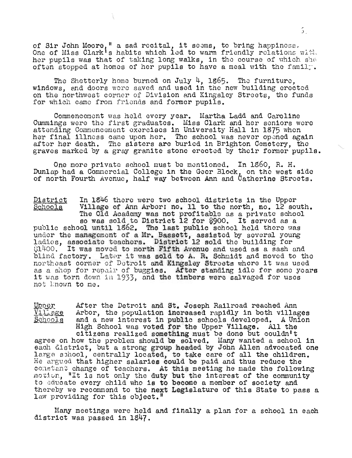of Sir John Moore," a sad recital, it seems, to bring happiness. one of Miss Clark's habits which led to warm friendly relations with. her pupils was that of taking long walks, in the course of which she often stopped at homes of her pupils to have a meal with the family.

 $\mathcal{L}$ 

The Shetterly home burned on July 4, 1965. The furniture, windows, and doors wore saved and used in the new building erected on the northwest corner of Division and Kingsley Streets, tho funds for which came from friends and former pupils.

Commencement was held every year. Martha Ladd and Caroline Cummings were tho first graduates. Miss Clark and her seniors were attending Commoncement oxercises in University Hall in 1875 when her final illness came upon her. The school was never opened again after her death. The sisters are buried in Brighton Cemotery, the graves marked by a gray granite stone erected by thoir former pupils.

One more private school must be mentioned. In 1860, R. H. Dunlap had a Commercial College in the Geer Block, on the west side of north Fourth Avenue, half way between Ann and Catherine Streets.

District SChOOlS In 1846 there were two school districts in the Upper Village of Ann Arbor: no. 11 to the north, no. 12 south. wittage of Ann Arbor; ho, it to the horth, ho, iz south ne old Academy was not profitable as a private schoor.<br>so was sold to District 12 for \$900. It served as a public school until 1862. The last public school held there was under the managemont of a Mr. Bassett, assisted by several young der the management of a mr. bassett, assisted by several younder.  $~31400.$  It was moved to north Fifth Avenue and used as a sash and blind factory. Later it was sold to A. R. Schmidt and moved to the northeast corner of Detroit and Kingsley Stroets where it was used as a shop for repair of buggies. After standing idle for some years it was torn down in 1933, and the timbers were salvaged for uses not known to me.

After the Detroit and St. Joseph Railroad reached Ann Upper <u>Village</u> Arbor, the population increased rapidly in both villages and a new interest in public schools developed. A Union <u>Schools</u> High School was voted for the Upper Village. All the citizens realized something must be done but couldn't agree on how the problem should be solved. Many wanted a school in each district, but a strong group headed by John Allen advocated one add district, but a strong group neaded by John Allen advocated on<br>large school, centrally located, to take care of all the children. He argued that higher salaries could be paid and thus reduce the re argued that higher saiaries could be paid and thus reduce the<br>constant change of teachers. At this meeting he made the following<br>motion, "It is not only the duty but the interest of the community to ducate every child who is to become a member of society and thereby we recommend to the next Legislature of this State to pass a law providing for this object."

Many meetings were held and finally a plan for a school in each district was passed in lS47.

 $\mathfrak{I}_+$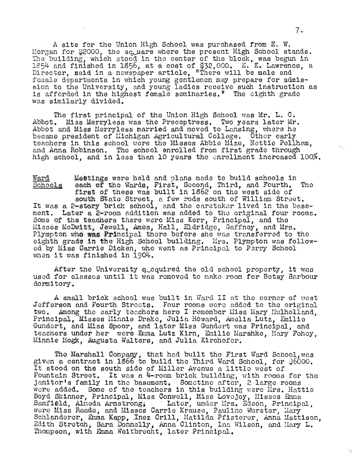A site for the Union High School was purchased from E. W. Morgan for \$2000, the square where the present High School stands. The building, which stood in the center of the block, was begun in ne puilding, which stood in the center of the plock, was begun in<br>.654 and finished in 1856, at a cost of \$32.000. E. E. Lawrence, a By4 and finished in 1890, at a cost of \$32,000. E. E. Lawrence<br>Mirector, maid in a newspaper article, "There will be male and female departments in which young gentlemen may prepare for admission to the University, and young ladies receive such instruction as is afforded in the highest female seminaries." The eighth grade was similarly divided.

The first principal of the Union High School was Mr. L. C. Abbot. Miss Merryless was the Preceptress. Two years later Mr. Abbot and Miss Merryless married and moved to Lansing, where he became president of Lilchigan Agricultural College. Other early ecame president of michigan agricultural college. Other early<br>eachers in this school were the Misses Abbie Mize. Nettie Pellh*e*m, eachers in this school were the Misses Abbie Mize, Nettle Pellhø<br>nd Anna Robinson. The school enrolled from first grade through high school, and in less than 10 years tho onrollment increased 100%.

Ward end statings were held and plans made to build schools in the Mards were held and plans made to build schools in the Mards, and Fourth. The acn or the wards, first, Second, Third, and Fourth.<br>'irst of these was built in 1862 on the west side of south State Street, a few rods south of William Street. south State Street, a few rods south of William Street.<br>It was a 2-story brick school, and the caretaker lived in the base-It was a 2-story brick school, and the caretaker lived in the base-<br>ment. Later a 2-room addition was added to the original four rooms. Some of the teachers there wore Miss Kerr, Principal, and the Misses McDvlitt, Jewell, Ames, Hall, Eldridge, Gaffney, and Mrs. Plympton who was Principal there before she was transferred to the eighth grade in the High School building. Mrs. Plympton was followed by Miss Carrie Dicken, who went as Principal to Perry School when it was finished in 1904.

After the University a cquired the old school property, it was used for classos until it was removed to mako room for Betsy Barbour dormitory.

A small brick school was built in Ward II at the corner of west A small prick school was built in ward it at the corner of west<br>Gefferson and Fourth Streets. Four rooms were added to the original effers and rought streets. Four rooms were added to the original<br>wo. Among the early teachers here I remember Miss Mary Mulholland, Principal, Misses Minnie Drake, JUlia Howard, Amelia Lutz, Emilie rincipal, Misses Minnie Drake, Julia Howard, Amelia Lutz, Emilie<br>Fundert, and Miss Spoor, and later Miss Gundert was Principal, and tendert, and miss spoor, and iater miss cundert was frincipal, and<br>eachers under her twere Emma Lutz Kirn, Emilie Marshke, Mary Fohey, seachers under her were mmma Lutz Kirn, amilie Mar<br>Hinnie Mogk, Augusta Walters, and Julia Kirchofer.

The Marshall Company, that had built the First Ward School, was given a contract in 1866 to build the Third Ward School, for  $$6000$ . It stood on the south side of Miller Avenue a little west of Fountain Street. It was a  $4$ -room brick building, with rooms for the janitor's family in the basement. Sometime after, 2 large rooms anitor's family in the basement. Sometime arter, 2 large rooms<br>Mere added. Some of the teachers in this building were Mrs. Hattie ere added, some of the teachers in this building were mrs. hatt<br>Boyd Skinner, Principal, Miss Conwell, Miss Lovejoy, Missos Emma oyd Skinner, Frincipal, Miss Conwell, Miss Lovejoy, Misses Emma<br>Bamfiéld, Almeda Armstrong: '' Later, under Mrs. Edson, Principal, wore Miss Reade, and Misses Carrie Krause, Pauline Wurster, Mary cre miss neade, and missoe varrie Arause, rauline wurster, mary<br>Schlanderer, Emma Kapp, Inez Crill, Matilda Pfisterer, Anna Mattison, enfanderer, amma Kapp, thez Urill, Matilda Filsterer, Anna Mattison<br>dith Stretch, Sara Donnelly, Anna Clinton, Inn Wilson, and Mary L. aith Stretch, Sara Donnelly, Anna Clinton, Ina W<br>hompson, with Emma Weitbrecht, later Principal.

----------------------------:/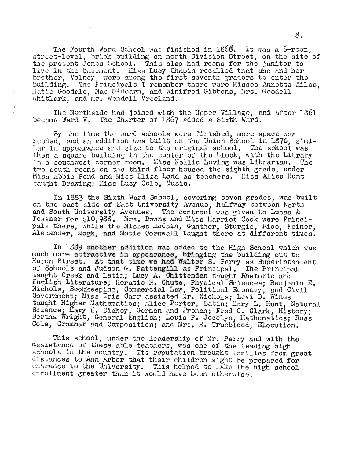The Fourth Ward School was finished in  $1566$ . It was a  $6$ -room. street-level, brick building on north Division Street, on the site of the present Jones School. This also had rooms for the janitor to and present comes behoor. This also had rooms for the janitor to live in the basement. Miss Lucy Chapin recalled that she and her ive in the pasement. Wiss Lucy Chapin recalled that she and her<br>brother, Volney, were among the first seventh graders to enter the building. The Principals I remember there were Misses Annetto Ailes. Matie Goodale, Mae O'Hearn, and Winifred Gibbons, Mrs. Goodell Whitlark, and Mr. Wendell Vreeland.

The Northside had joined with the Upper Village, and after 1361 became Ward V. The Charter of 1867 added a Sixth Ward.

By tho time the ward schools were finished, more space was nooded, and an addition was built on the Union School in 1870, similar in appearance and size to the original school. The school was then a square building in the center of the block, with the Library in a southwest corner room. Hiss Nellie Loving was Librarian. The two south rooms on the third floor housed the eighth grade, under Miss Abbie Pond and Miss Eliza Ladd as teachers. Miss Alice Hunt taught Drawing; Miss Lucy Cole, Music.

In 1883 the Sixth Ward School, covering seven grades, was built on the east side of East University Avenuo, halfway between North and South University Avenues. The contract was given to Lucas & Tessmer for \$10,988. Mrs. Downs and Miss Harriet Cook were Principals there, while the Misses McCain, Gunther, Sturgis, Rice, Feiner, Alexander, Mogk, and Matie Cornwall taught there at different times.

In 18S9 another addition was added to the High School which was much more attractive in appearance, buinging the building out to Huron Street. At that time we had Walter S. Perry as Superintendent of Schools and Judson G. Pattengill as Principal. The Principal taught Greek and Latin; Lucy A. Chittenden taught Rhetoric and English Literature; Horatio N. Chute, Physical Sciences: Benjamin E. nighten Ersonature, horation. Shate, Fhysical Borences; Benjamin E. withols, Bookkeeping, Commercial Law, Political Economy, and Ci<br>Fovernment; Miss Iris Carr assisted Mr. Nichols: Levi D. Wines taught Higher Mathematics; Alice Porter, Latin; Mary L. Hunt, Natural Science; Mary E. Dickey, German and French; Fred C. Clark, History; Bertha Wright, General English; Louis P. Jocelyn, Mathematics; Ross Cole, Grammar and Composition; and Mrs. H. Trueblood, Elocution.

This school, under the leadership of Mr. Perry and with the assistance of these able teachers, was one of the leading high schools in the country. Its reputation brought families from great distances to Ann Arbor that their children might be prepared for entrance to the University. This helped to make the high school enrollment greater than it would have been otherwise.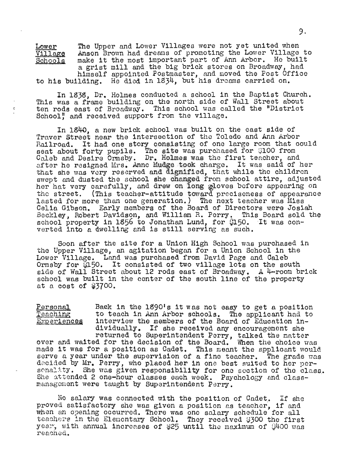Lower Village Schools The Upper and Lower Villages were not yet united when Anson Brown had dreams of promoting the Lower Village to make it the most important part of Ann Arbor. He built a grist mill and the big brick stores on Broadway, had himself appointed Postmaster, and moved the Post Office to his building. He died in 1934, but his dreams carried on.

In 1935, Dr. Holmes conducted a school in the Baptist Church. This was a frame building on the north side of Wall Street about ten rods east of Broadway. This school was called the "District School," and received support from the village.

In 1840, a new brick school was built on the east side of Traver Street near the intersection of the Toledo and Ann Arbor Railroad. It had one story consisting of one large room that could maliroad. It had one story consisting of one large room that of the story of the state was purchased for \$100 from seat about forty pupils. The site was purchased for glud from<br>Caleb and Desire Ormsby. Dr. Holmes was the first teacher, and after he resigned Mrs. Anne Mudge took charge. It was said of her that she was very reserved and dignified, that while the children swept and dusted the school she changed from school attire, adjusted her hat very carefully, and drew on long  $\frac{1}{2}$ loves before appearing on the street. (This teacher-attitude toward preciseness of appearance lasted for more than one generation.) The next teacher was Miss Celia Gibson. Early members of the Board of Directors were Josiah Beckley, Robert Davidson, and William R. Perry. This Board sold the school property in 1856 to Jonathan Lund, for \$150. It was converted into a dwelling and is still serving as such.

Soon after the site for a Union High School was purchased in the Upper Village, an agitation began for a Union School in the Lower Village. Land was purchased from David Page and Caleb Lower Village. Land was purchased from David Page and Galeb<br>Ormsby for \$150. It consisted of two village lots on the south side of Wall Street about 12 rods east of Broadway. A 4-room brick school was built in the center of the south line of the property at a cost of \$3700.

Personal Teaching

 $\ddot{\rm c}$ 

Experiences Back in the 1890's it was not easy to get a position to teach in Ann Arbor schools. The applicant had to interview the members of the Board of Education individually. If she received any encouragement she returned to Superintendent Perry, talked the matter

over and waited for the decision of the Board. When the choice *vias*  made it was for a position as Cadet • . This meant the applicant would made it was for a position as Cadet. This meant the applicant would serve a year under the supervision of a fine teacher. The grade was decided by Mr. Perry, who placed her in one best suited to her per-sonality. She was given responsibility for one section of the class. She attended 2 one-hour classes each week. Psychology and classmanagement were taught by Superintendent Perry.

No salary was connected with the position of Cadet. If she no salary was connected with the position of Cadet. If she<br>proved satisfactory she was given a position as teacher. if and proved satisiactory she was given a position as teacher, if and<br>when an opening occurred. There was one salary schedule for all teachers in the Elementary School. They received \$300 the first year, with annual increases of \$25 until the maximum of 0400 was reached.

9.